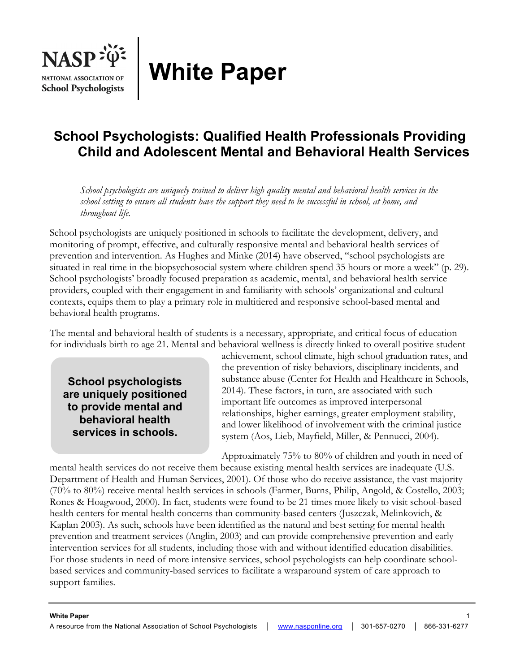

# **White Paper**

# **School Psychologists: Qualified Health Professionals Providing Child and Adolescent Mental and Behavioral Health Services**

*School psychologists are uniquely trained to deliver high quality mental and behavioral health services in the school setting to ensure all students have the support they need to be successful in school, at home, and throughout life.* 

School psychologists are uniquely positioned in schools to facilitate the development, delivery, and monitoring of prompt, effective, and culturally responsive mental and behavioral health services of prevention and intervention. As Hughes and Minke (2014) have observed, "school psychologists are situated in real time in the biopsychosocial system where children spend 35 hours or more a week" (p. 29). School psychologists' broadly focused preparation as academic, mental, and behavioral health service providers, coupled with their engagement in and familiarity with schools' organizational and cultural contexts, equips them to play a primary role in multitiered and responsive school-based mental and behavioral health programs.

The mental and behavioral health of students is a necessary, appropriate, and critical focus of education for individuals birth to age 21. Mental and behavioral wellness is directly linked to overall positive student

**School psychologists are uniquely positioned to provide mental and behavioral health services in schools.** 

achievement, school climate, high school graduation rates, and the prevention of risky behaviors, disciplinary incidents, and substance abuse (Center for Health and Healthcare in Schools, 2014). These factors, in turn, are associated with such important life outcomes as improved interpersonal relationships, higher earnings, greater employment stability, and lower likelihood of involvement with the criminal justice system (Aos, Lieb, Mayfield, Miller, & Pennucci, 2004).

Approximately 75% to 80% of children and youth in need of

mental health services do not receive them because existing mental health services are inadequate (U.S. Department of Health and Human Services, 2001). Of those who do receive assistance, the vast majority (70% to 80%) receive mental health services in schools (Farmer, Burns, Philip, Angold, & Costello, 2003; Rones & Hoagwood, 2000). In fact, students were found to be 21 times more likely to visit school-based health centers for mental health concerns than community-based centers (Juszczak, Melinkovich, & Kaplan 2003). As such, schools have been identified as the natural and best setting for mental health prevention and treatment services (Anglin, 2003) and can provide comprehensive prevention and early intervention services for all students, including those with and without identified education disabilities. For those students in need of more intensive services, school psychologists can help coordinate schoolbased services and community-based services to facilitate a wraparound system of care approach to support families.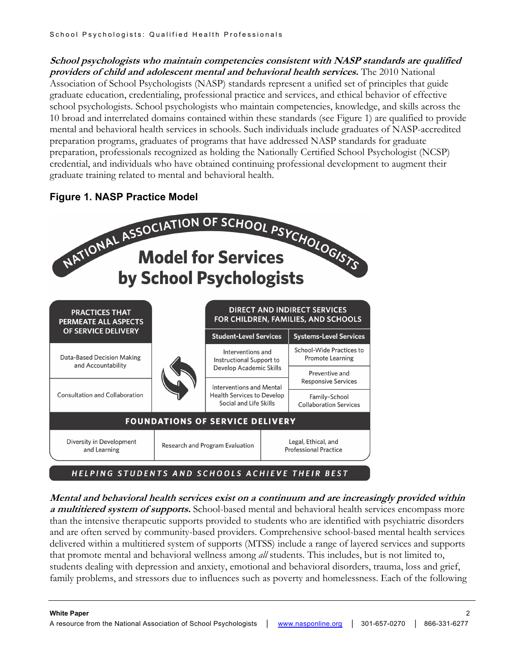**School psychologists who maintain competencies consistent with NASP standards are qualified providers of child and adolescent mental and behavioral health services.** The 2010 National Association of School Psychologists (NASP) standards represent a unified set of principles that guide graduate education, credentialing, professional practice and services, and ethical behavior of effective school psychologists. School psychologists who maintain competencies, knowledge, and skills across the 10 broad and interrelated domains contained within these standards (see Figure 1) are qualified to provide mental and behavioral health services in schools. Such individuals include graduates of NASP-accredited preparation programs, graduates of programs that have addressed NASP standards for graduate preparation, professionals recognized as holding the Nationally Certified School Psychologist (NCSP) credential, and individuals who have obtained continuing professional development to augment their graduate training related to mental and behavioral health.





**Mental and behavioral health services exist on a continuum and are increasingly provided within a multitiered system of supports.** School-based mental and behavioral health services encompass more than the intensive therapeutic supports provided to students who are identified with psychiatric disorders and are often served by community-based providers. Comprehensive school-based mental health services delivered within a multitiered system of supports (MTSS) include a range of layered services and supports that promote mental and behavioral wellness among *all* students. This includes, but is not limited to, students dealing with depression and anxiety, emotional and behavioral disorders, trauma, loss and grief, family problems, and stressors due to influences such as poverty and homelessness. Each of the following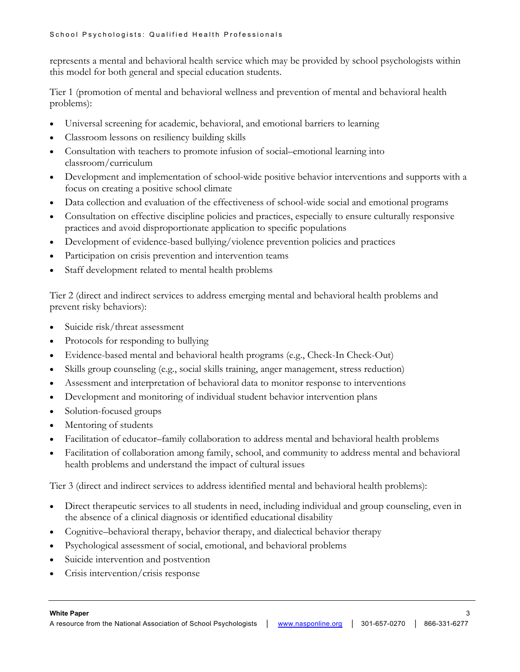represents a mental and behavioral health service which may be provided by school psychologists within this model for both general and special education students.

Tier 1 (promotion of mental and behavioral wellness and prevention of mental and behavioral health problems):

- Universal screening for academic, behavioral, and emotional barriers to learning
- Classroom lessons on resiliency building skills
- Consultation with teachers to promote infusion of social–emotional learning into classroom/curriculum
- Development and implementation of school-wide positive behavior interventions and supports with a focus on creating a positive school climate
- Data collection and evaluation of the effectiveness of school-wide social and emotional programs
- Consultation on effective discipline policies and practices, especially to ensure culturally responsive practices and avoid disproportionate application to specific populations
- Development of evidence-based bullying/violence prevention policies and practices
- Participation on crisis prevention and intervention teams
- Staff development related to mental health problems

Tier 2 (direct and indirect services to address emerging mental and behavioral health problems and prevent risky behaviors):

- Suicide risk/threat assessment
- Protocols for responding to bullying
- Evidence-based mental and behavioral health programs (e.g., Check-In Check-Out)
- Skills group counseling (e.g., social skills training, anger management, stress reduction)
- Assessment and interpretation of behavioral data to monitor response to interventions
- Development and monitoring of individual student behavior intervention plans
- Solution-focused groups
- Mentoring of students
- Facilitation of educator–family collaboration to address mental and behavioral health problems
- Facilitation of collaboration among family, school, and community to address mental and behavioral health problems and understand the impact of cultural issues

Tier 3 (direct and indirect services to address identified mental and behavioral health problems):

- Direct therapeutic services to all students in need, including individual and group counseling, even in the absence of a clinical diagnosis or identified educational disability
- Cognitive–behavioral therapy, behavior therapy, and dialectical behavior therapy
- Psychological assessment of social, emotional, and behavioral problems
- Suicide intervention and postvention
- Crisis intervention/crisis response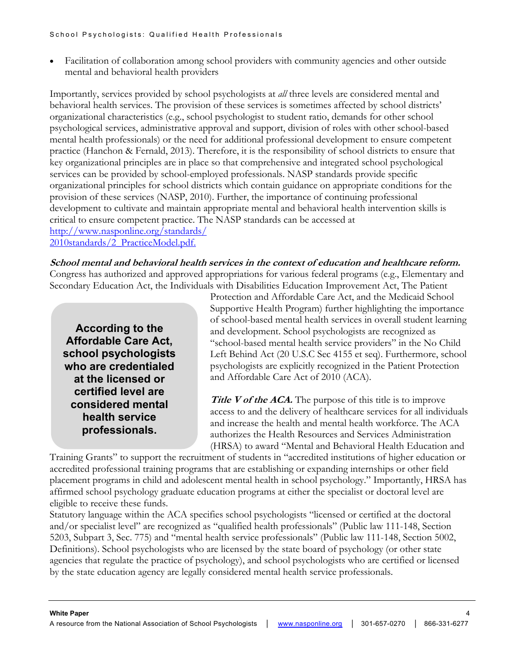• Facilitation of collaboration among school providers with community agencies and other outside mental and behavioral health providers

Importantly, services provided by school psychologists at *all* three levels are considered mental and behavioral health services. The provision of these services is sometimes affected by school districts' organizational characteristics (e.g., school psychologist to student ratio, demands for other school psychological services, administrative approval and support, division of roles with other school-based mental health professionals) or the need for additional professional development to ensure competent practice (Hanchon & Fernald, 2013). Therefore, it is the responsibility of school districts to ensure that key organizational principles are in place so that comprehensive and integrated school psychological services can be provided by school-employed professionals. NASP standards provide specific organizational principles for school districts which contain guidance on appropriate conditions for the provision of these services (NASP, 2010). Further, the importance of continuing professional development to cultivate and maintain appropriate mental and behavioral health intervention skills is critical to ensure competent practice. The NASP standards can be accessed at http://www.nasponline.org/standards/ 2010standards/2\_PracticeModel.pdf.

**School mental and behavioral health services in the context of education and healthcare reform.** Congress has authorized and approved appropriations for various federal programs (e.g., Elementary and Secondary Education Act, the Individuals with Disabilities Education Improvement Act, The Patient

**According to the Affordable Care Act, school psychologists who are credentialed at the licensed or certified level are considered mental health service professionals.**

Protection and Affordable Care Act, and the Medicaid School Supportive Health Program) further highlighting the importance of school-based mental health services in overall student learning and development. School psychologists are recognized as "school-based mental health service providers" in the No Child Left Behind Act (20 U.S.C Sec 4155 et seq). Furthermore, school psychologists are explicitly recognized in the Patient Protection and Affordable Care Act of 2010 (ACA).

**Title V of the ACA.** The purpose of this title is to improve access to and the delivery of healthcare services for all individuals and increase the health and mental health workforce. The ACA authorizes the Health Resources and Services Administration (HRSA) to award "Mental and Behavioral Health Education and

Training Grants" to support the recruitment of students in "accredited institutions of higher education or accredited professional training programs that are establishing or expanding internships or other field placement programs in child and adolescent mental health in school psychology." Importantly, HRSA has affirmed school psychology graduate education programs at either the specialist or doctoral level are eligible to receive these funds.

Statutory language within the ACA specifies school psychologists "licensed or certified at the doctoral and/or specialist level" are recognized as "qualified health professionals" (Public law 111-148, Section 5203, Subpart 3, Sec. 775) and "mental health service professionals" (Public law 111-148, Section 5002, Definitions). School psychologists who are licensed by the state board of psychology (or other state agencies that regulate the practice of psychology), and school psychologists who are certified or licensed by the state education agency are legally considered mental health service professionals.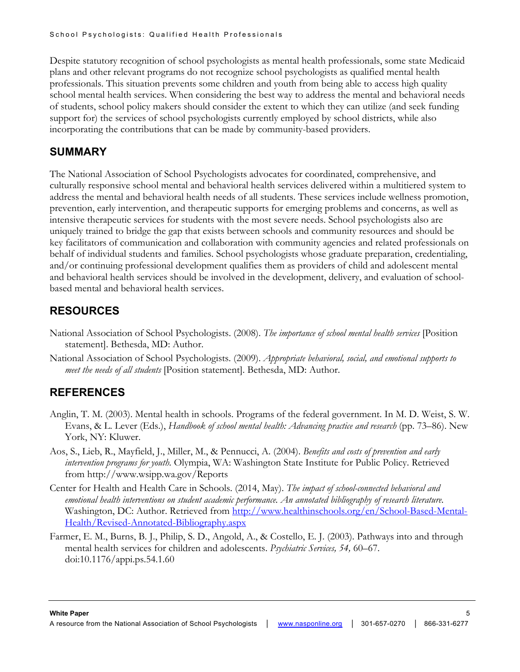Despite statutory recognition of school psychologists as mental health professionals, some state Medicaid plans and other relevant programs do not recognize school psychologists as qualified mental health professionals. This situation prevents some children and youth from being able to access high quality school mental health services. When considering the best way to address the mental and behavioral needs of students, school policy makers should consider the extent to which they can utilize (and seek funding support for) the services of school psychologists currently employed by school districts, while also incorporating the contributions that can be made by community-based providers.

#### **SUMMARY**

The National Association of School Psychologists advocates for coordinated, comprehensive, and culturally responsive school mental and behavioral health services delivered within a multitiered system to address the mental and behavioral health needs of all students. These services include wellness promotion, prevention, early intervention, and therapeutic supports for emerging problems and concerns, as well as intensive therapeutic services for students with the most severe needs. School psychologists also are uniquely trained to bridge the gap that exists between schools and community resources and should be key facilitators of communication and collaboration with community agencies and related professionals on behalf of individual students and families. School psychologists whose graduate preparation, credentialing, and/or continuing professional development qualifies them as providers of child and adolescent mental and behavioral health services should be involved in the development, delivery, and evaluation of schoolbased mental and behavioral health services.

## **RESOURCES**

- National Association of School Psychologists. (2008). *The importance of school mental health services* [Position statement]. Bethesda, MD: Author.
- National Association of School Psychologists. (2009). *Appropriate behavioral, social, and emotional supports to meet the needs of all students* [Position statement]. Bethesda, MD: Author.

## **REFERENCES**

- Anglin, T. M. (2003). Mental health in schools. Programs of the federal government. In M. D. Weist, S. W. Evans, & L. Lever (Eds.), *Handbook of school mental health: Advancing practice and research* (pp. 73–86). New York, NY: Kluwer.
- Aos, S., Lieb, R., Mayfield, J., Miller, M., & Pennucci, A. (2004). *Benefits and costs of prevention and early intervention programs for youth.* Olympia, WA: Washington State Institute for Public Policy. Retrieved from http://www.wsipp.wa.gov/Reports
- Center for Health and Health Care in Schools. (2014, May). *The impact of school-connected behavioral and emotional health interventions on student academic performance. An annotated bibliography of research literature.*  Washington, DC: Author. Retrieved from http://www.healthinschools.org/en/School-Based-Mental-Health/Revised-Annotated-Bibliography.aspx
- Farmer, E. M., Burns, B. J., Philip, S. D., Angold, A., & Costello, E. J. (2003). Pathways into and through mental health services for children and adolescents. *Psychiatric Services, 54,* 60–67. doi:10.1176/appi.ps.54.1.60